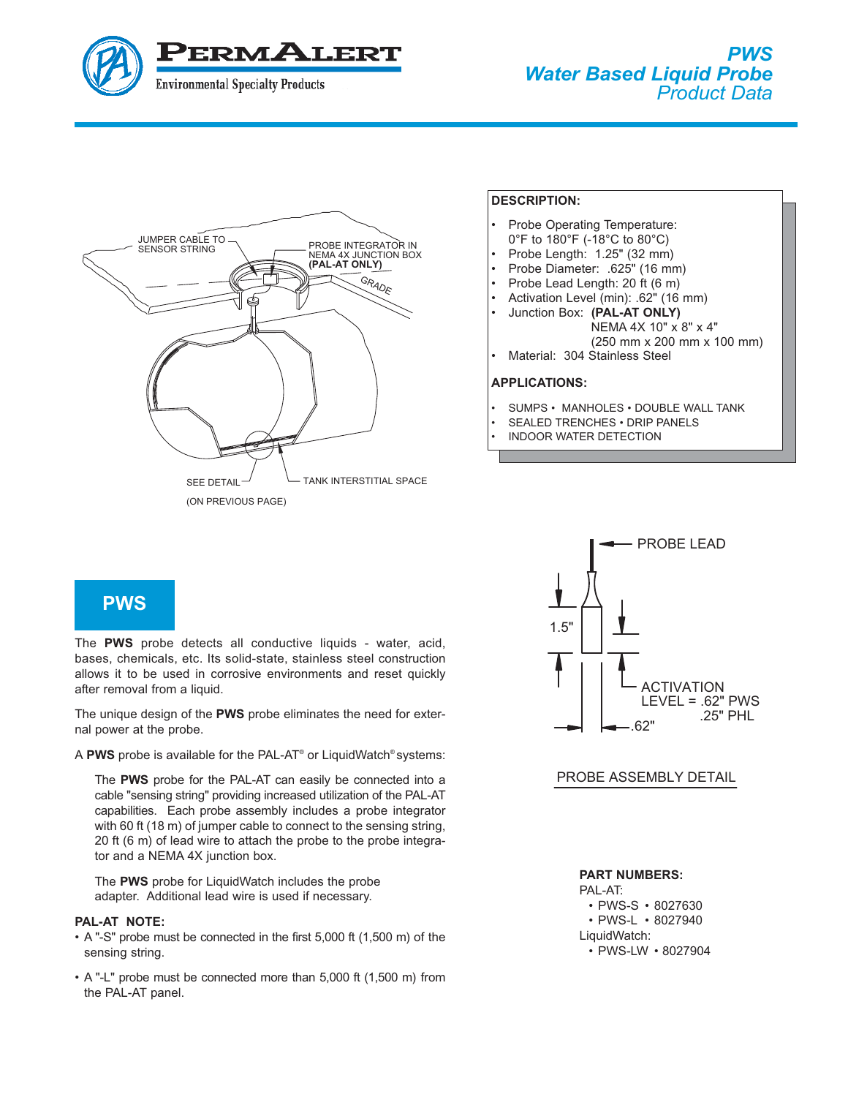



### **DESCRIPTION:**

- Probe Operating Temperature:
- 0°F to 180°F (-18°C to 80°C)
- Probe Length: 1.25" (32 mm)
- Probe Diameter: .625" (16 mm)
- Probe Lead Length: 20 ft (6 m)
- Activation Level (min): .62" (16 mm)
	- Junction Box: **(PAL-AT ONLY)**
		- NEMA 4X 10" x 8" x 4"
		- (250 mm x 200 mm x 100 mm)
- Material: 304 Stainless Steel

## **APPLICATIONS:**

- SUMPS MANHOLES DOUBLE WALL TANK
- SEALED TRENCHES DRIP PANELS
- INDOOR WATER DETECTION



The PWS probe detects all conductive liquids - water, acid, bases, chemicals, etc. Its solid-state, stainless steel construction allows it to be used in corrosive environments and reset quickly after removal from a liquid.

The unique design of the **PWS** probe eliminates the need for external power at the probe.

A **PWS** probe is available for the PAL-AT® or LiquidWatch® systems:

The **PWS** probe for the PAL-AT can easily be connected into a cable "sensing string" providing increased utilization of the PAL-AT capabilities. Each probe assembly includes a probe integrator with 60 ft (18 m) of jumper cable to connect to the sensing string, 20 ft (6 m) of lead wire to attach the probe to the probe integrator and a NEMA 4X junction box.

The PWS probe for Liquid Watch includes the probe adapter. Additional lead wire is used if necessary.

## **PAL-AT NOTE:**

- A "-S" probe must be connected in the first 5,000 ft (1,500 m) of the sensing string.
- A "-L" probe must be connected more than 5,000 ft (1,500 m) from the PAL-AT panel.



# PROBE ASSEMBLY DETAIL

# **PART NUMBERS:**

PAL-AT: • PWS-S • 8027630 • PWS-L • 8027940 LiquidWatch: • PWS-LW • 8027904